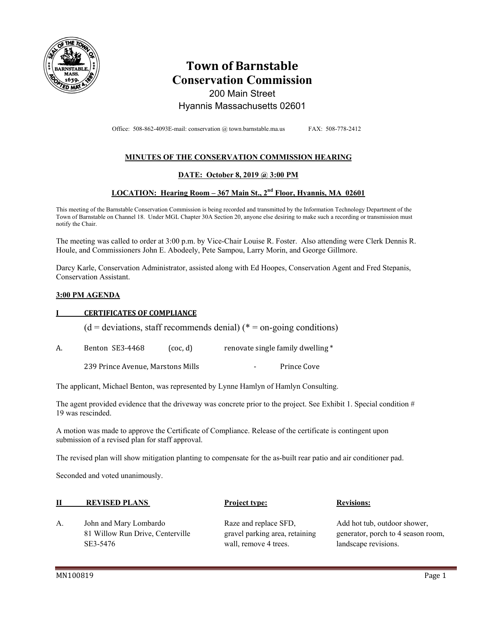

# **Town of Barnstable Conservation Commission**  200 Main Street Hyannis Massachusetts 02601

Office: 508-862-4093E-mail: conservation @ town.barnstable.ma.us FAX: 508-778-2412

# **MINUTES OF THE CONSERVATION COMMISSION HEARING**

### **DATE: October 8, 2019 @ 3:00 PM**

# **LOCATION: Hearing Room – 367 Main St., 2nd Floor, Hyannis, MA 02601**

This meeting of the Barnstable Conservation Commission is being recorded and transmitted by the Information Technology Department of the Town of Barnstable on Channel 18. Under MGL Chapter 30A Section 20, anyone else desiring to make such a recording or transmission must notify the Chair.

The meeting was called to order at 3:00 p.m. by Vice-Chair Louise R. Foster. Also attending were Clerk Dennis R. Houle, and Commissioners John E. Abodeely, Pete Sampou, Larry Morin, and George Gillmore.

Darcy Karle, Conservation Administrator, assisted along with Ed Hoopes, Conservation Agent and Fred Stepanis, Conservation Assistant.

#### **3:00 PM AGENDA**

#### **I CERTIFICATES OF COMPLIANCE**

 $(d = deviations, staff recommends denial)$  (\* = on-going conditions)

A. Benton SE3-4468 (coc, d) renovate single family dwelling \*

239 Prince Avenue, Marstons Mills **Frince Cove** 

The applicant, Michael Benton, was represented by Lynne Hamlyn of Hamlyn Consulting.

The agent provided evidence that the driveway was concrete prior to the project. See Exhibit 1. Special condition # 19 was rescinded.

A motion was made to approve the Certificate of Compliance. Release of the certificate is contingent upon submission of a revised plan for staff approval.

The revised plan will show mitigation planting to compensate for the as-built rear patio and air conditioner pad.

Seconded and voted unanimously.

| <b>REVISED PLANS</b>   | <b>Project type:</b>  | <b>Revisions:</b>            |
|------------------------|-----------------------|------------------------------|
| John and Mary Lombardo | Raze and replace SFD, | Add hot tub, outdoor shower, |

 81 Willow Run Drive, Centerville gravel parking area, retaining generator, porch to 4 season room, SE3-5476 wall, remove 4 trees. landscape revisions.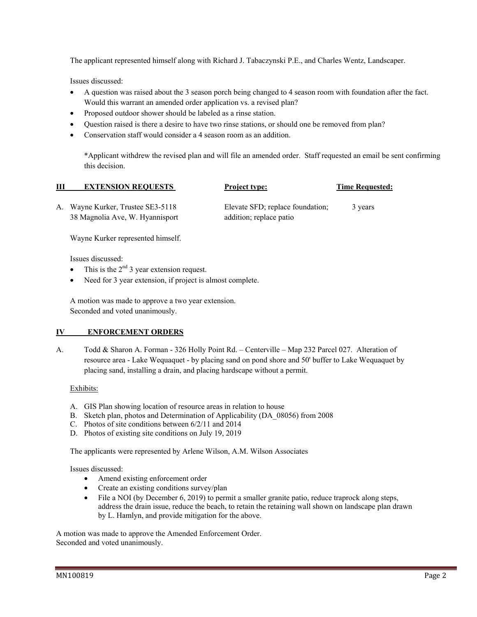The applicant represented himself along with Richard J. Tabaczynski P.E., and Charles Wentz, Landscaper.

Issues discussed:

- A question was raised about the 3 season porch being changed to 4 season room with foundation after the fact. Would this warrant an amended order application vs. a revised plan?
- Proposed outdoor shower should be labeled as a rinse station.
- Question raised is there a desire to have two rinse stations, or should one be removed from plan?
- Conservation staff would consider a 4 season room as an addition.

\*Applicant withdrew the revised plan and will file an amended order. Staff requested an email be sent confirming this decision.

| Ш | <b>EXTENSION REQUESTS</b>         | <b>Project type:</b>             | <b>Time Requested:</b> |
|---|-----------------------------------|----------------------------------|------------------------|
|   | A. Wayne Kurker, Trustee SE3-5118 | Elevate SFD; replace foundation; | 3 years                |
|   | 38 Magnolia Ave, W. Hyannisport   | addition; replace patio          |                        |

Wayne Kurker represented himself.

Issues discussed:

- This is the  $2<sup>nd</sup>$  3 year extension request.
- Need for 3 year extension, if project is almost complete.

 A motion was made to approve a two year extension. Seconded and voted unanimously.

#### **IV ENFORCEMENT ORDERS**

A. Todd & Sharon A. Forman - 326 Holly Point Rd. – Centerville – Map 232 Parcel 027. Alteration of resource area - Lake Wequaquet - by placing sand on pond shore and 50' buffer to Lake Wequaquet by placing sand, installing a drain, and placing hardscape without a permit.

#### Exhibits:

- A. GIS Plan showing location of resource areas in relation to house
- B. Sketch plan, photos and Determination of Applicability (DA\_08056) from 2008
- C. Photos of site conditions between 6/2/11 and 2014
- D. Photos of existing site conditions on July 19, 2019

The applicants were represented by Arlene Wilson, A.M. Wilson Associates

Issues discussed:

- Amend existing enforcement order
- Create an existing conditions survey/plan
- File a NOI (by December 6, 2019) to permit a smaller granite patio, reduce traprock along steps, address the drain issue, reduce the beach, to retain the retaining wall shown on landscape plan drawn by L. Hamlyn, and provide mitigation for the above.

A motion was made to approve the Amended Enforcement Order. Seconded and voted unanimously.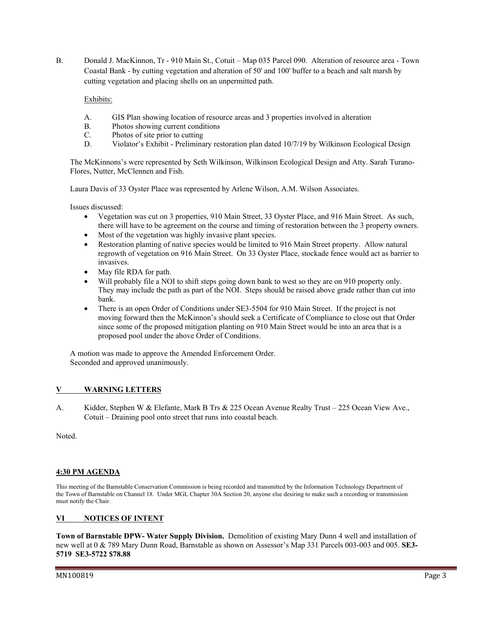B. Donald J. MacKinnon, Tr - 910 Main St., Cotuit – Map 035 Parcel 090. Alteration of resource area - Town Coastal Bank - by cutting vegetation and alteration of 50' and 100' buffer to a beach and salt marsh by cutting vegetation and placing shells on an unpermitted path.

Exhibits:

- A. GIS Plan showing location of resource areas and 3 properties involved in alteration
- B. Photos showing current conditions
- C. Photos of site prior to cutting
- D. Violator's Exhibit Preliminary restoration plan dated 10/7/19 by Wilkinson Ecological Design

The McKinnons's were represented by Seth Wilkinson, Wilkinson Ecological Design and Atty. Sarah Turano-Flores, Nutter, McClennen and Fish.

Laura Davis of 33 Oyster Place was represented by Arlene Wilson, A.M. Wilson Associates.

Issues discussed:

- Vegetation was cut on 3 properties, 910 Main Street, 33 Oyster Place, and 916 Main Street. As such, there will have to be agreement on the course and timing of restoration between the 3 property owners.
- Most of the vegetation was highly invasive plant species.
- Restoration planting of native species would be limited to 916 Main Street property. Allow natural regrowth of vegetation on 916 Main Street. On 33 Oyster Place, stockade fence would act as barrier to invasives.
- May file RDA for path.
- Will probably file a NOI to shift steps going down bank to west so they are on 910 property only. They may include the path as part of the NOI. Steps should be raised above grade rather than cut into bank.
- There is an open Order of Conditions under SE3-5504 for 910 Main Street. If the project is not moving forward then the McKinnon's should seek a Certificate of Compliance to close out that Order since some of the proposed mitigation planting on 910 Main Street would be into an area that is a proposed pool under the above Order of Conditions.

A motion was made to approve the Amended Enforcement Order. Seconded and approved unanimously.

## **V WARNING LETTERS**

A. Kidder, Stephen W & Elefante, Mark B Trs & 225 Ocean Avenue Realty Trust – 225 Ocean View Ave., Cotuit – Draining pool onto street that runs into coastal beach.

Noted.

#### **4:30 PM AGENDA**

This meeting of the Barnstable Conservation Commission is being recorded and transmitted by the Information Technology Department of the Town of Barnstable on Channel 18. Under MGL Chapter 30A Section 20, anyone else desiring to make such a recording or transmission must notify the Chair.

## **VI NOTICES OF INTENT**

**Town of Barnstable DPW- Water Supply Division.** Demolition of existing Mary Dunn 4 well and installation of new well at 0 & 789 Mary Dunn Road, Barnstable as shown on Assessor's Map 331 Parcels 003-003 and 005. **SE3- 5719 SE3-5722 \$78.88**